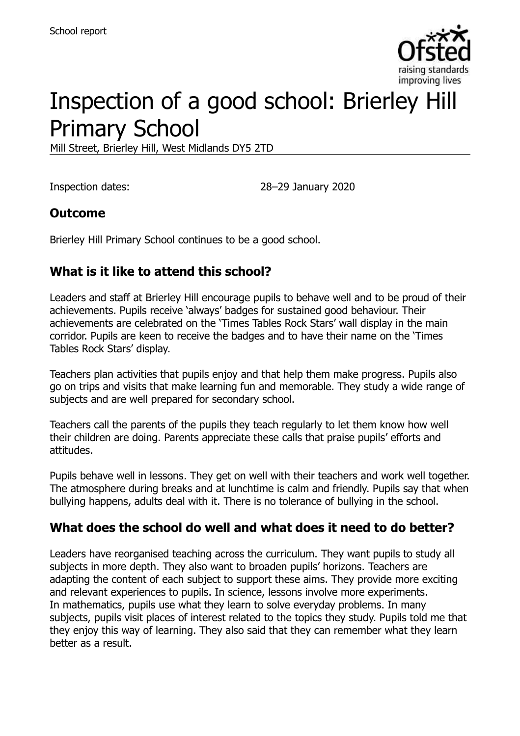

# Inspection of a good school: Brierley Hill Primary School

Mill Street, Brierley Hill, West Midlands DY5 2TD

Inspection dates: 28–29 January 2020

### **Outcome**

Brierley Hill Primary School continues to be a good school.

## **What is it like to attend this school?**

Leaders and staff at Brierley Hill encourage pupils to behave well and to be proud of their achievements. Pupils receive 'always' badges for sustained good behaviour. Their achievements are celebrated on the 'Times Tables Rock Stars' wall display in the main corridor. Pupils are keen to receive the badges and to have their name on the 'Times Tables Rock Stars' display.

Teachers plan activities that pupils enjoy and that help them make progress. Pupils also go on trips and visits that make learning fun and memorable. They study a wide range of subjects and are well prepared for secondary school.

Teachers call the parents of the pupils they teach regularly to let them know how well their children are doing. Parents appreciate these calls that praise pupils' efforts and attitudes.

Pupils behave well in lessons. They get on well with their teachers and work well together. The atmosphere during breaks and at lunchtime is calm and friendly. Pupils say that when bullying happens, adults deal with it. There is no tolerance of bullying in the school.

### **What does the school do well and what does it need to do better?**

Leaders have reorganised teaching across the curriculum. They want pupils to study all subjects in more depth. They also want to broaden pupils' horizons. Teachers are adapting the content of each subject to support these aims. They provide more exciting and relevant experiences to pupils. In science, lessons involve more experiments. In mathematics, pupils use what they learn to solve everyday problems. In many subjects, pupils visit places of interest related to the topics they study. Pupils told me that they enjoy this way of learning. They also said that they can remember what they learn better as a result.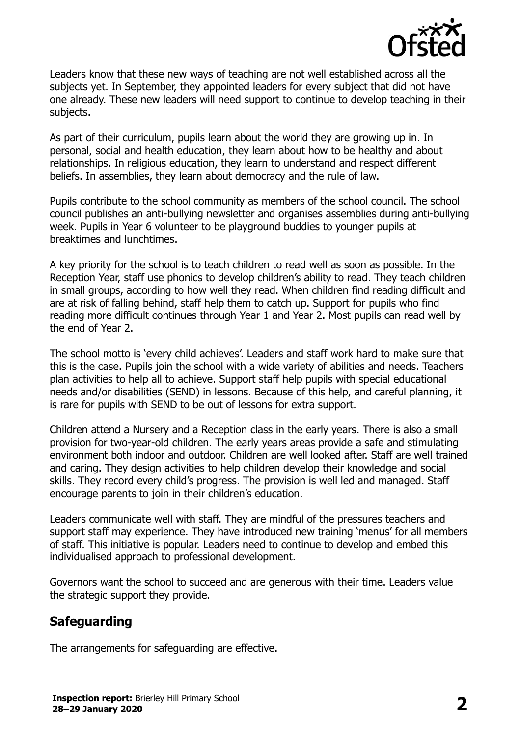

Leaders know that these new ways of teaching are not well established across all the subjects yet. In September, they appointed leaders for every subject that did not have one already. These new leaders will need support to continue to develop teaching in their subjects.

As part of their curriculum, pupils learn about the world they are growing up in. In personal, social and health education, they learn about how to be healthy and about relationships. In religious education, they learn to understand and respect different beliefs. In assemblies, they learn about democracy and the rule of law.

Pupils contribute to the school community as members of the school council. The school council publishes an anti-bullying newsletter and organises assemblies during anti-bullying week. Pupils in Year 6 volunteer to be playground buddies to younger pupils at breaktimes and lunchtimes.

A key priority for the school is to teach children to read well as soon as possible. In the Reception Year, staff use phonics to develop children's ability to read. They teach children in small groups, according to how well they read. When children find reading difficult and are at risk of falling behind, staff help them to catch up. Support for pupils who find reading more difficult continues through Year 1 and Year 2. Most pupils can read well by the end of Year 2.

The school motto is 'every child achieves'. Leaders and staff work hard to make sure that this is the case. Pupils join the school with a wide variety of abilities and needs. Teachers plan activities to help all to achieve. Support staff help pupils with special educational needs and/or disabilities (SEND) in lessons. Because of this help, and careful planning, it is rare for pupils with SEND to be out of lessons for extra support.

Children attend a Nursery and a Reception class in the early years. There is also a small provision for two-year-old children. The early years areas provide a safe and stimulating environment both indoor and outdoor. Children are well looked after. Staff are well trained and caring. They design activities to help children develop their knowledge and social skills. They record every child's progress. The provision is well led and managed. Staff encourage parents to join in their children's education.

Leaders communicate well with staff. They are mindful of the pressures teachers and support staff may experience. They have introduced new training 'menus' for all members of staff. This initiative is popular. Leaders need to continue to develop and embed this individualised approach to professional development.

Governors want the school to succeed and are generous with their time. Leaders value the strategic support they provide.

## **Safeguarding**

The arrangements for safeguarding are effective.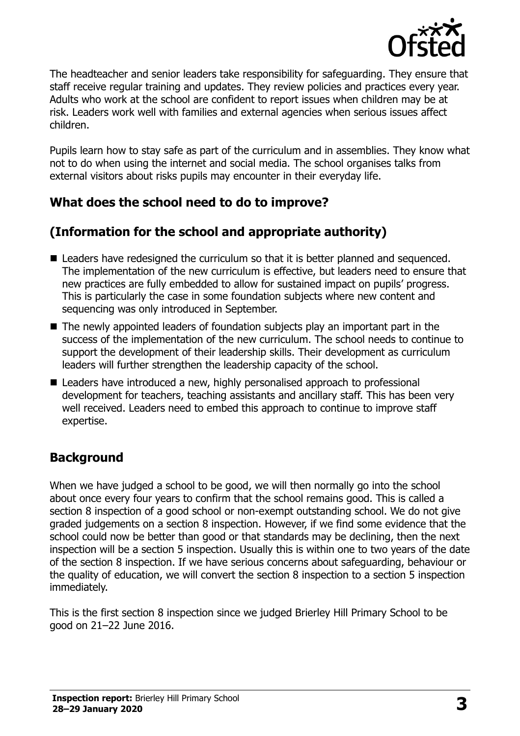

The headteacher and senior leaders take responsibility for safeguarding. They ensure that staff receive regular training and updates. They review policies and practices every year. Adults who work at the school are confident to report issues when children may be at risk. Leaders work well with families and external agencies when serious issues affect children.

Pupils learn how to stay safe as part of the curriculum and in assemblies. They know what not to do when using the internet and social media. The school organises talks from external visitors about risks pupils may encounter in their everyday life.

## **What does the school need to do to improve?**

## **(Information for the school and appropriate authority)**

- Leaders have redesigned the curriculum so that it is better planned and sequenced. The implementation of the new curriculum is effective, but leaders need to ensure that new practices are fully embedded to allow for sustained impact on pupils' progress. This is particularly the case in some foundation subjects where new content and sequencing was only introduced in September.
- The newly appointed leaders of foundation subjects play an important part in the success of the implementation of the new curriculum. The school needs to continue to support the development of their leadership skills. Their development as curriculum leaders will further strengthen the leadership capacity of the school.
- Leaders have introduced a new, highly personalised approach to professional development for teachers, teaching assistants and ancillary staff. This has been very well received. Leaders need to embed this approach to continue to improve staff expertise.

## **Background**

When we have judged a school to be good, we will then normally go into the school about once every four years to confirm that the school remains good. This is called a section 8 inspection of a good school or non-exempt outstanding school. We do not give graded judgements on a section 8 inspection. However, if we find some evidence that the school could now be better than good or that standards may be declining, then the next inspection will be a section 5 inspection. Usually this is within one to two years of the date of the section 8 inspection. If we have serious concerns about safeguarding, behaviour or the quality of education, we will convert the section 8 inspection to a section 5 inspection immediately.

This is the first section 8 inspection since we judged Brierley Hill Primary School to be good on 21–22 June 2016.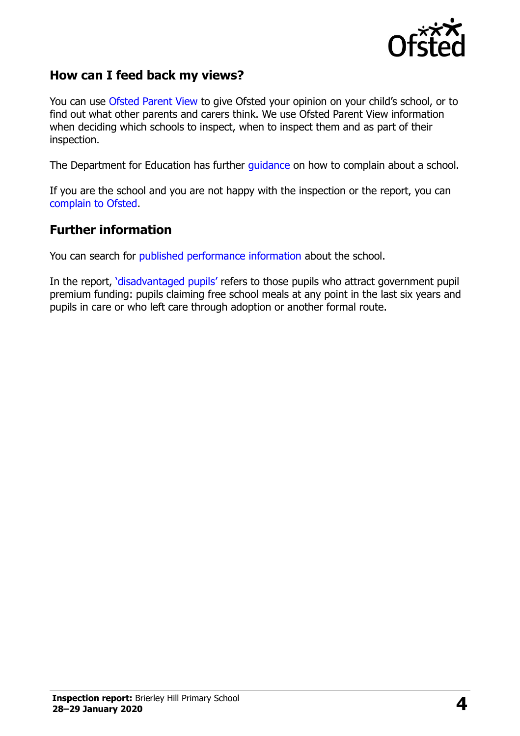

### **How can I feed back my views?**

You can use [Ofsted Parent View](https://parentview.ofsted.gov.uk/) to give Ofsted your opinion on your child's school, or to find out what other parents and carers think. We use Ofsted Parent View information when deciding which schools to inspect, when to inspect them and as part of their inspection.

The Department for Education has further [guidance](http://www.gov.uk/complain-about-school) on how to complain about a school.

If you are the school and you are not happy with the inspection or the report, you can [complain to Ofsted.](https://www.gov.uk/complain-ofsted-report)

#### **Further information**

You can search for [published performance information](http://www.compare-school-performance.service.gov.uk/) about the school.

In the report, '[disadvantaged pupils](http://www.gov.uk/guidance/pupil-premium-information-for-schools-and-alternative-provision-settings)' refers to those pupils who attract government pupil premium funding: pupils claiming free school meals at any point in the last six years and pupils in care or who left care through adoption or another formal route.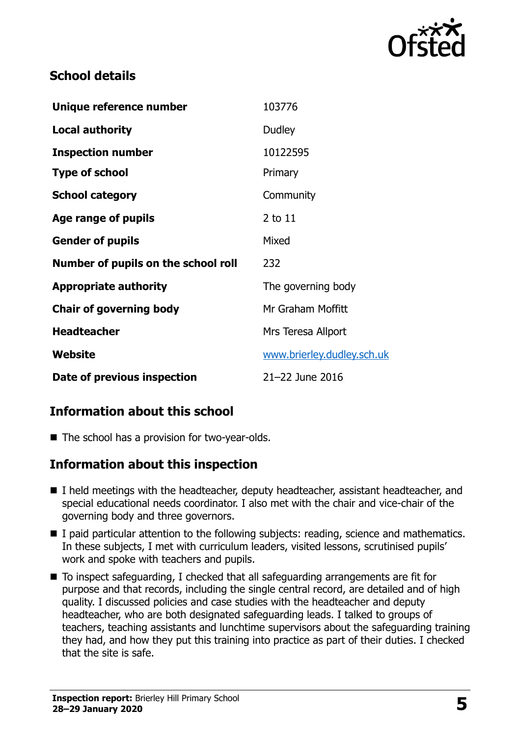

## **School details**

| Unique reference number             | 103776                     |
|-------------------------------------|----------------------------|
| <b>Local authority</b>              | Dudley                     |
| <b>Inspection number</b>            | 10122595                   |
| <b>Type of school</b>               | Primary                    |
| <b>School category</b>              | Community                  |
| Age range of pupils                 | 2 to 11                    |
| <b>Gender of pupils</b>             | Mixed                      |
| Number of pupils on the school roll | 232                        |
| <b>Appropriate authority</b>        | The governing body         |
| <b>Chair of governing body</b>      | Mr Graham Moffitt          |
| <b>Headteacher</b>                  | Mrs Teresa Allport         |
| Website                             | www.brierley.dudley.sch.uk |
| Date of previous inspection         | 21-22 June 2016            |

## **Information about this school**

■ The school has a provision for two-year-olds.

### **Information about this inspection**

- I held meetings with the headteacher, deputy headteacher, assistant headteacher, and special educational needs coordinator. I also met with the chair and vice-chair of the governing body and three governors.
- I paid particular attention to the following subjects: reading, science and mathematics. In these subjects, I met with curriculum leaders, visited lessons, scrutinised pupils' work and spoke with teachers and pupils.
- $\blacksquare$  To inspect safeguarding, I checked that all safeguarding arrangements are fit for purpose and that records, including the single central record, are detailed and of high quality. I discussed policies and case studies with the headteacher and deputy headteacher, who are both designated safeguarding leads. I talked to groups of teachers, teaching assistants and lunchtime supervisors about the safeguarding training they had, and how they put this training into practice as part of their duties. I checked that the site is safe.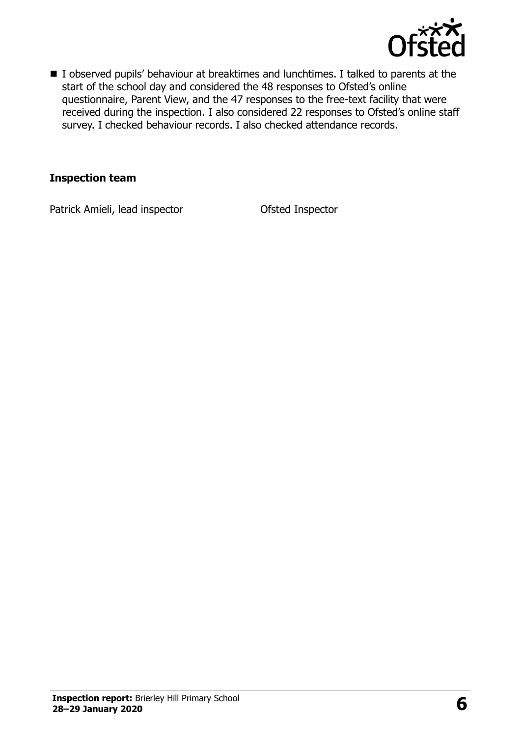

I observed pupils' behaviour at breaktimes and lunchtimes. I talked to parents at the start of the school day and considered the 48 responses to Ofsted's online questionnaire, Parent View, and the 47 responses to the free-text facility that were received during the inspection. I also considered 22 responses to Ofsted's online staff survey. I checked behaviour records. I also checked attendance records.

#### **Inspection team**

Patrick Amieli, lead inspector **Ofsted Inspector**